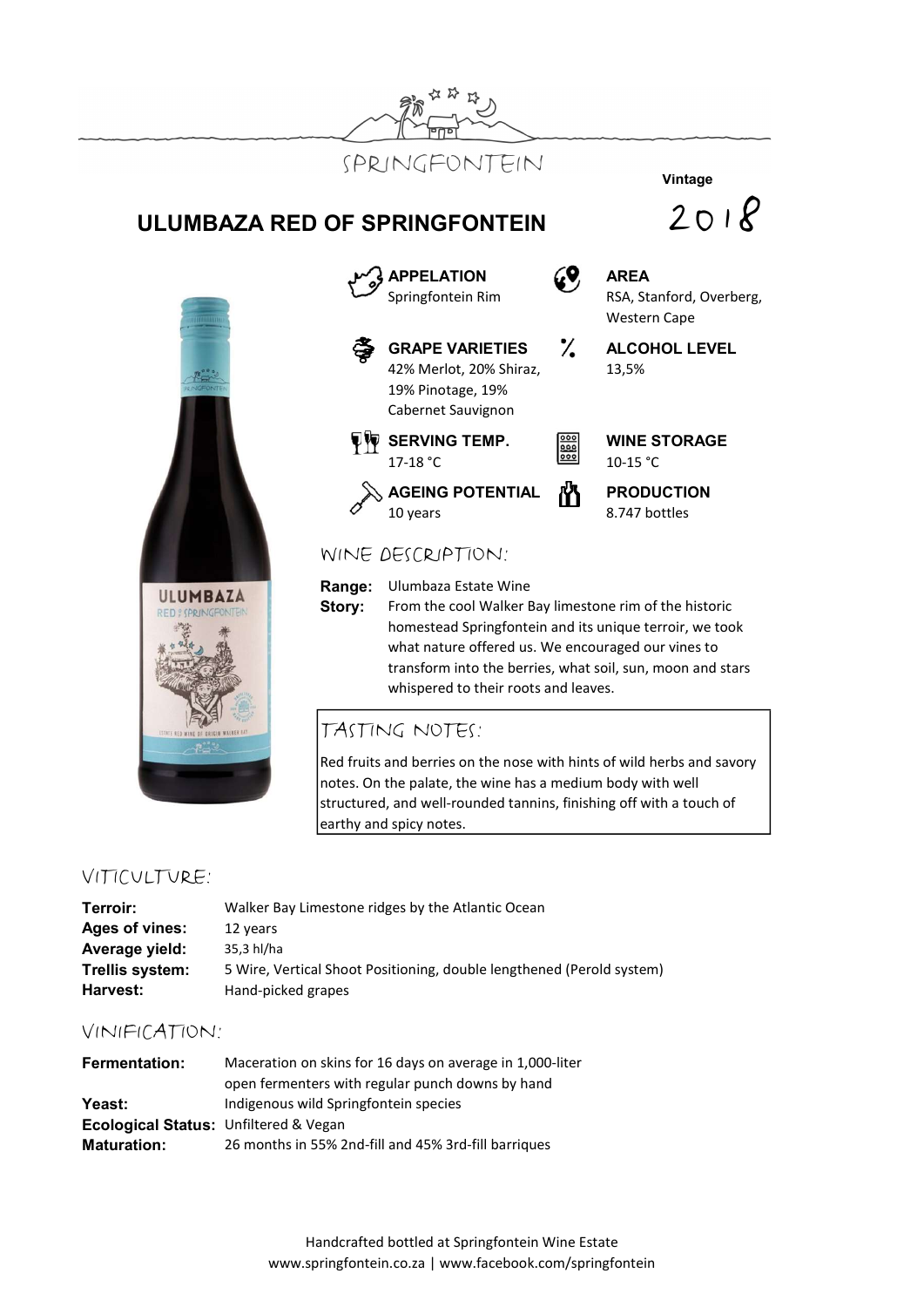

# ULUMBAZA RED OF SPRINGFONTEIN





Story: From the cool Walker Bay limestone rim of the historic homestead Springfontein and its unique terroir, we took what nature offered us. We encouraged our vines to transform into the berries, what soil, sun, moon and stars whispered to their roots and leaves.

### TASTING NOTES:

Red fruits and berries on the nose with hints of wild herbs and savory notes. On the palate, the wine has a medium body with well structured, and well-rounded tannins, finishing off with a touch of earthy and spicy notes.

### VITICULTURE:

| Terroir:        | Walker Bay Limestone ridges by the Atlantic Ocean                     |
|-----------------|-----------------------------------------------------------------------|
| Ages of vines:  | 12 years                                                              |
| Average yield:  | 35.3 hl/ha                                                            |
| Trellis system: | 5 Wire, Vertical Shoot Positioning, double lengthened (Perold system) |
| Harvest:        | Hand-picked grapes                                                    |

### VINIFICATION:

| <b>Fermentation:</b>                             | Maceration on skins for 16 days on average in 1,000-liter |  |
|--------------------------------------------------|-----------------------------------------------------------|--|
|                                                  | open fermenters with regular punch downs by hand          |  |
| <b>Yeast:</b>                                    | Indigenous wild Springfontein species                     |  |
| <b>Ecological Status: Unfiltered &amp; Vegan</b> |                                                           |  |
| <b>Maturation:</b>                               | 26 months in 55% 2nd-fill and 45% 3rd-fill barriques      |  |

## Vintage



Western Cape

13,5%

Handcrafted bottled at Springfontein Wine Estate www.springfontein.co.za | www.facebook.com/springfontein